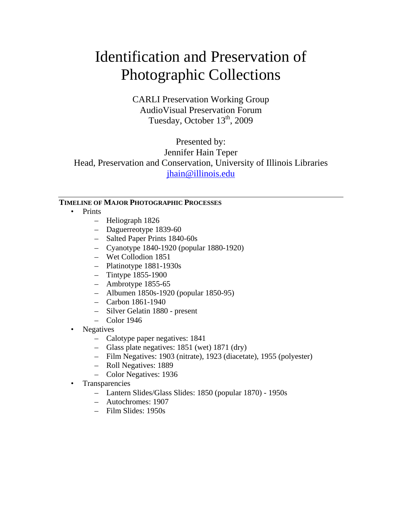# Identification and Preservation of Photographic Collections

CARLI Preservation Working Group AudioVisual Preservation Forum Tuesday, October  $13<sup>th</sup>$ , 2009

Presented by: Jennifer Hain Teper Head, Preservation and Conservation, University of Illinois Libraries jhain@illinois.edu

#### **TIMELINE OF MAJOR PHOTOGRAPHIC PROCESSES**

- Prints
	- Heliograph 1826
	- Daguerreotype 1839-60
	- Salted Paper Prints 1840-60s
	- Cyanotype 1840-1920 (popular 1880-1920)
	- Wet Collodion 1851
	- Platinotype 1881-1930s
	- Tintype 1855-1900
	- Ambrotype 1855-65
	- Albumen 1850s-1920 (popular 1850-95)
	- Carbon 1861-1940
	- Silver Gelatin 1880 present
	- Color 1946
- Negatives
	- Calotype paper negatives: 1841
	- Glass plate negatives: 1851 (wet) 1871 (dry)
	- Film Negatives: 1903 (nitrate), 1923 (diacetate), 1955 (polyester)
	- Roll Negatives: 1889
	- Color Negatives: 1936
- Transparencies
	- Lantern Slides/Glass Slides: 1850 (popular 1870) 1950s
	- Autochromes: 1907
	- Film Slides: 1950s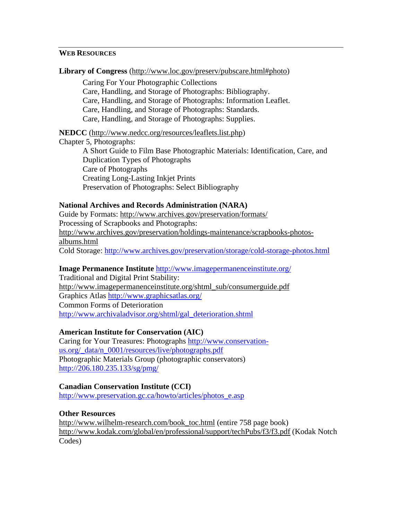#### **WEB RESOURCES**

**Library of Congress** (http://www.loc.gov/preserv/pubscare.html#photo)

Caring For Your Photographic Collections Care, Handling, and Storage of Photographs: Bibliography. Care, Handling, and Storage of Photographs: Information Leaflet. Care, Handling, and Storage of Photographs: Standards. Care, Handling, and Storage of Photographs: Supplies.

**NEDCC** (http://www.nedcc.org/resources/leaflets.list.php) Chapter 5, Photographs: A Short Guide to Film Base Photographic Materials: Identification, Care, and

Duplication Types of Photographs Care of Photographs Creating Long-Lasting Inkjet Prints Preservation of Photographs: Select Bibliography

#### **National Archives and Records Administration (NARA)**

Guide by Formats: http://www.archives.gov/preservation/formats/ Processing of Scrapbooks and Photographs: http://www.archives.gov/preservation/holdings-maintenance/scrapbooks-photosalbums.html Cold Storage: http://www.archives.gov/preservation/storage/cold-storage-photos.html

#### **Image Permanence Institute** http://www.imagepermanenceinstitute.org/

Traditional and Digital Print Stability: http://www.imagepermanenceinstitute.org/shtml\_sub/consumerguide.pdf Graphics Atlas http://www.graphicsatlas.org/ Common Forms of Deterioration http://www.archivaladvisor.org/shtml/gal\_deterioration.shtml

#### **American Institute for Conservation (AIC)**

Caring for Your Treasures: Photographs http://www.conservationus.org/\_data/n\_0001/resources/live/photographs.pdf Photographic Materials Group (photographic conservators) http://206.180.235.133/sg/pmg/

#### **Canadian Conservation Institute (CCI)**

http://www.preservation.gc.ca/howto/articles/photos\_e.asp

#### **Other Resources**

http://www.wilhelm-research.com/book\_toc.html (entire 758 page book) http://www.kodak.com/global/en/professional/support/techPubs/f3/f3.pdf (Kodak Notch Codes)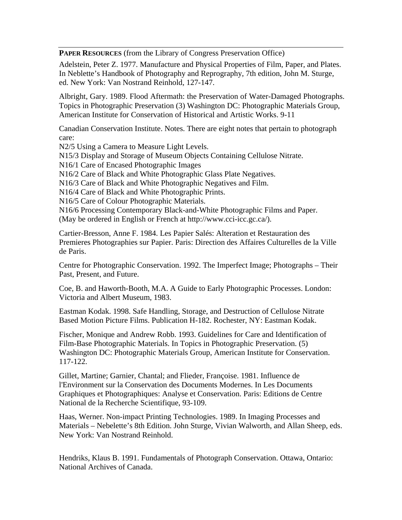**PAPER RESOURCES** (from the Library of Congress Preservation Office)

Adelstein, Peter Z. 1977. Manufacture and Physical Properties of Film, Paper, and Plates. In Neblette's Handbook of Photography and Reprography, 7th edition, John M. Sturge, ed. New York: Van Nostrand Reinhold, 127-147.

Albright, Gary. 1989. Flood Aftermath: the Preservation of Water-Damaged Photographs. Topics in Photographic Preservation (3) Washington DC: Photographic Materials Group, American Institute for Conservation of Historical and Artistic Works. 9-11

Canadian Conservation Institute. Notes. There are eight notes that pertain to photograph care:

N2/5 Using a Camera to Measure Light Levels.

N15/3 Display and Storage of Museum Objects Containing Cellulose Nitrate.

N16/1 Care of Encased Photographic Images

N16/2 Care of Black and White Photographic Glass Plate Negatives.

N16/3 Care of Black and White Photographic Negatives and Film.

N16/4 Care of Black and White Photographic Prints.

N16/5 Care of Colour Photographic Materials.

N16/6 Processing Contemporary Black-and-White Photographic Films and Paper. (May be ordered in English or French at http://www.cci-icc.gc.ca/).

Cartier-Bresson, Anne F. 1984. Les Papier Salés: Alteration et Restauration des Premieres Photographies sur Papier. Paris: Direction des Affaires Culturelles de la Ville de Paris.

Centre for Photographic Conservation. 1992. The Imperfect Image; Photographs – Their Past, Present, and Future.

Coe, B. and Haworth-Booth, M.A. A Guide to Early Photographic Processes. London: Victoria and Albert Museum, 1983.

Eastman Kodak. 1998. Safe Handling, Storage, and Destruction of Cellulose Nitrate Based Motion Picture Films. Publication H-182. Rochester, NY: Eastman Kodak.

Fischer, Monique and Andrew Robb. 1993. Guidelines for Care and Identification of Film-Base Photographic Materials. In Topics in Photographic Preservation. (5) Washington DC: Photographic Materials Group, American Institute for Conservation. 117-122.

Gillet, Martine; Garnier, Chantal; and Flieder, Françoise. 1981. Influence de l'Environment sur la Conservation des Documents Modernes. In Les Documents Graphiques et Photographiques: Analyse et Conservation. Paris: Editions de Centre National de la Recherche Scientifique, 93-109.

Haas, Werner. Non-impact Printing Technologies. 1989. In Imaging Processes and Materials – Nebelette's 8th Edition. John Sturge, Vivian Walworth, and Allan Sheep, eds. New York: Van Nostrand Reinhold.

Hendriks, Klaus B. 1991. Fundamentals of Photograph Conservation. Ottawa, Ontario: National Archives of Canada.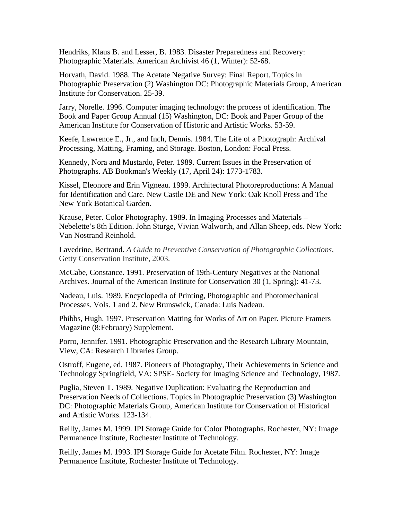Hendriks, Klaus B. and Lesser, B. 1983. Disaster Preparedness and Recovery: Photographic Materials. American Archivist 46 (1, Winter): 52-68.

Horvath, David. 1988. The Acetate Negative Survey: Final Report. Topics in Photographic Preservation (2) Washington DC: Photographic Materials Group, American Institute for Conservation. 25-39.

Jarry, Norelle. 1996. Computer imaging technology: the process of identification. The Book and Paper Group Annual (15) Washington, DC: Book and Paper Group of the American Institute for Conservation of Historic and Artistic Works. 53-59.

Keefe, Lawrence E., Jr., and Inch, Dennis. 1984. The Life of a Photograph: Archival Processing, Matting, Framing, and Storage. Boston, London: Focal Press.

Kennedy, Nora and Mustardo, Peter. 1989. Current Issues in the Preservation of Photographs. AB Bookman's Weekly (17, April 24): 1773-1783.

Kissel, Eleonore and Erin Vigneau. 1999. Architectural Photoreproductions: A Manual for Identification and Care. New Castle DE and New York: Oak Knoll Press and The New York Botanical Garden.

Krause, Peter. Color Photography. 1989. In Imaging Processes and Materials – Nebelette's 8th Edition. John Sturge, Vivian Walworth, and Allan Sheep, eds. New York: Van Nostrand Reinhold.

Lavedrine, Bertrand. *A Guide to Preventive Conservation of Photographic Collections*, Getty Conservation Institute, 2003.

McCabe, Constance. 1991. Preservation of 19th-Century Negatives at the National Archives. Journal of the American Institute for Conservation 30 (1, Spring): 41-73.

Nadeau, Luis. 1989. Encyclopedia of Printing, Photographic and Photomechanical Processes. Vols. 1 and 2. New Brunswick, Canada: Luis Nadeau.

Phibbs, Hugh. 1997. Preservation Matting for Works of Art on Paper. Picture Framers Magazine (8:February) Supplement.

Porro, Jennifer. 1991. Photographic Preservation and the Research Library Mountain, View, CA: Research Libraries Group.

Ostroff, Eugene, ed. 1987. Pioneers of Photography, Their Achievements in Science and Technology Springfield, VA: SPSE- Society for Imaging Science and Technology, 1987.

Puglia, Steven T. 1989. Negative Duplication: Evaluating the Reproduction and Preservation Needs of Collections. Topics in Photographic Preservation (3) Washington DC: Photographic Materials Group, American Institute for Conservation of Historical and Artistic Works. 123-134.

Reilly, James M. 1999. IPI Storage Guide for Color Photographs. Rochester, NY: Image Permanence Institute, Rochester Institute of Technology.

Reilly, James M. 1993. IPI Storage Guide for Acetate Film. Rochester, NY: Image Permanence Institute, Rochester Institute of Technology.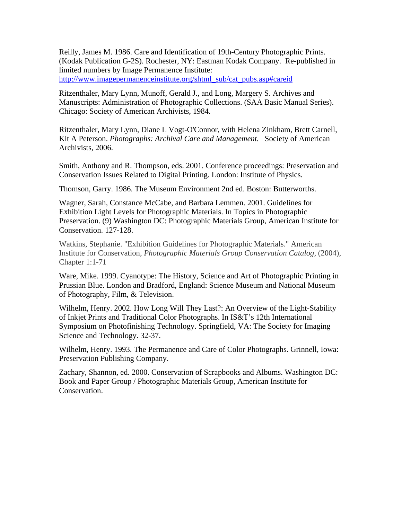Reilly, James M. 1986. Care and Identification of 19th-Century Photographic Prints. (Kodak Publication G-2S). Rochester, NY: Eastman Kodak Company. Re-published in limited numbers by Image Permanence Institute: http://www.imagepermanenceinstitute.org/shtml\_sub/cat\_pubs.asp#careid

Ritzenthaler, Mary Lynn, Munoff, Gerald J., and Long, Margery S. Archives and Manuscripts: Administration of Photographic Collections. (SAA Basic Manual Series). Chicago: Society of American Archivists, 1984.

Ritzenthaler, Mary Lynn, Diane L Vogt-O'Connor, with Helena Zinkham, Brett Carnell, Kit A Peterson. *Photographs: Archival Care and Management.* Society of American Archivists, 2006.

Smith, Anthony and R. Thompson, eds. 2001. Conference proceedings: Preservation and Conservation Issues Related to Digital Printing. London: Institute of Physics.

Thomson, Garry. 1986. The Museum Environment 2nd ed. Boston: Butterworths.

Wagner, Sarah, Constance McCabe, and Barbara Lemmen. 2001. Guidelines for Exhibition Light Levels for Photographic Materials. In Topics in Photographic Preservation. (9) Washington DC: Photographic Materials Group, American Institute for Conservation. 127-128.

Watkins, Stephanie. "Exhibition Guidelines for Photographic Materials." American Institute for Conservation, *Photographic Materials Group Conservation Catalog*, (2004), Chapter 1:1-71

Ware, Mike. 1999. Cyanotype: The History, Science and Art of Photographic Printing in Prussian Blue. London and Bradford, England: Science Museum and National Museum of Photography, Film, & Television.

Wilhelm, Henry. 2002. How Long Will They Last?: An Overview of the Light-Stability of Inkjet Prints and Traditional Color Photographs. In IS&T's 12th International Symposium on Photofinishing Technology. Springfield, VA: The Society for Imaging Science and Technology. 32-37.

Wilhelm, Henry. 1993. The Permanence and Care of Color Photographs. Grinnell, Iowa: Preservation Publishing Company.

Zachary, Shannon, ed. 2000. Conservation of Scrapbooks and Albums. Washington DC: Book and Paper Group / Photographic Materials Group, American Institute for Conservation.